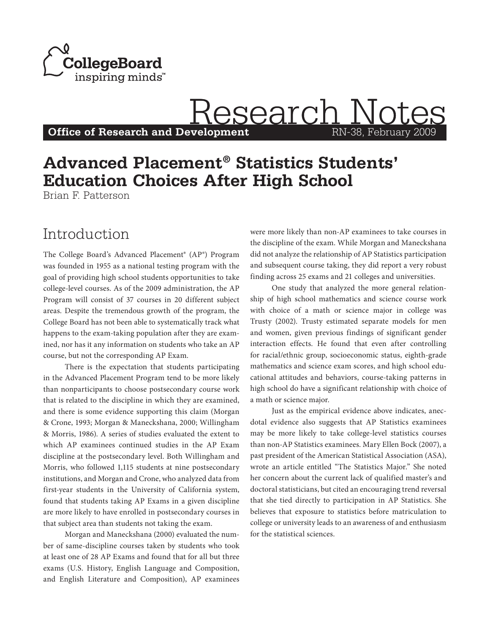

**Office of Research and Development** 

# **Advanced Placement® Statistics Students' Education Choices After High School**

Brian F. Patterson

### Introduction

The College Board's Advanced Placement® (AP®) Program was founded in 1955 as a national testing program with the goal of providing high school students opportunities to take college-level courses. As of the 2009 administration, the AP Program will consist of 37 courses in 20 different subject areas. Despite the tremendous growth of the program, the College Board has not been able to systematically track what happens to the exam-taking population after they are examined, nor has it any information on students who take an AP course, but not the corresponding AP Exam.

There is the expectation that students participating in the Advanced Placement Program tend to be more likely than nonparticipants to choose postsecondary course work that is related to the discipline in which they are examined, and there is some evidence supporting this claim (Morgan & Crone, 1993; Morgan & Maneckshana, 2000; Willingham & Morris, 1986). A series of studies evaluated the extent to which AP examinees continued studies in the AP Exam discipline at the postsecondary level. Both Willingham and Morris, who followed 1,115 students at nine postsecondary institutions, and Morgan and Crone, who analyzed data from first-year students in the University of California system, found that students taking AP Exams in a given discipline are more likely to have enrolled in postsecondary courses in that subject area than students not taking the exam.

Morgan and Maneckshana (2000) evaluated the number of same-discipline courses taken by students who took at least one of 28 AP Exams and found that for all but three exams (U.S. History, English Language and Composition, and English Literature and Composition), AP examinees were more likely than non-AP examinees to take courses in the discipline of the exam. While Morgan and Maneckshana did not analyze the relationship of AP Statistics participation and subsequent course taking, they did report a very robust finding across 25 exams and 21 colleges and universities.

**Development** RN-38, February 2009

Research Not

One study that analyzed the more general relationship of high school mathematics and science course work with choice of a math or science major in college was Trusty (2002). Trusty estimated separate models for men and women, given previous findings of significant gender interaction effects. He found that even after controlling for racial/ethnic group, socioeconomic status, eighth-grade mathematics and science exam scores, and high school educational attitudes and behaviors, course-taking patterns in high school do have a significant relationship with choice of a math or science major.

Just as the empirical evidence above indicates, anecdotal evidence also suggests that AP Statistics examinees may be more likely to take college-level statistics courses than non-AP Statistics examinees. Mary Ellen Bock (2007), a past president of the American Statistical Association (ASA), wrote an article entitled "The Statistics Major." She noted her concern about the current lack of qualified master's and doctoral statisticians, but cited an encouraging trend reversal that she tied directly to participation in AP Statistics. She believes that exposure to statistics before matriculation to college or university leads to an awareness of and enthusiasm for the statistical sciences.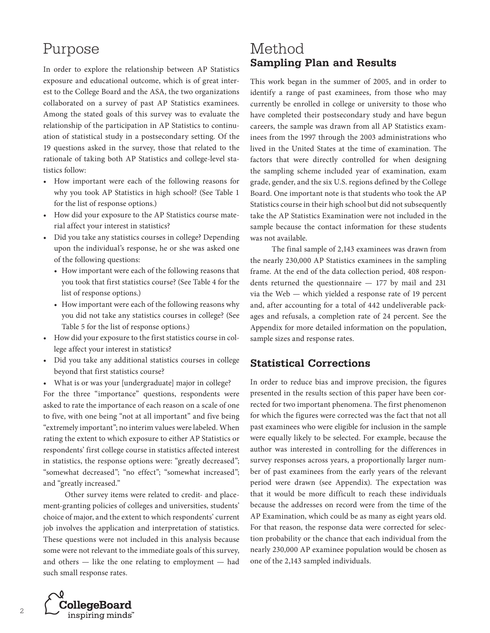## Purpose

In order to explore the relationship between AP Statistics exposure and educational outcome, which is of great interest to the College Board and the ASA, the two organizations collaborated on a survey of past AP Statistics examinees. Among the stated goals of this survey was to evaluate the relationship of the participation in AP Statistics to continuation of statistical study in a postsecondary setting. Of the 19 questions asked in the survey, those that related to the rationale of taking both AP Statistics and college-level statistics follow:

- • How important were each of the following reasons for why you took AP Statistics in high school? (See Table 1 for the list of response options.)
- • How did your exposure to the AP Statistics course material affect your interest in statistics?
- • Did you take any statistics courses in college? Depending upon the individual's response, he or she was asked one of the following questions:
	- • How important were each of the following reasons that you took that first statistics course? (See Table 4 for the list of response options.)
	- How important were each of the following reasons why you did not take any statistics courses in college? (See Table 5 for the list of response options.)
- • How did your exposure to the first statistics course in college affect your interest in statistics?
- • Did you take any additional statistics courses in college beyond that first statistics course?
- What is or was your [undergraduate] major in college?

For the three "importance" questions, respondents were asked to rate the importance of each reason on a scale of one to five, with one being "not at all important" and five being "extremely important"; no interim values were labeled. When rating the extent to which exposure to either AP Statistics or respondents' first college course in statistics affected interest in statistics, the response options were: "greatly decreased"; "somewhat decreased"; "no effect"; "somewhat increased"; and "greatly increased."

Other survey items were related to credit- and placement-granting policies of colleges and universities, students' choice of major, and the extent to which respondents' current job involves the application and interpretation of statistics. These questions were not included in this analysis because some were not relevant to the immediate goals of this survey, and others — like the one relating to employment — had such small response rates.

### Method **Sampling Plan and Results**

This work began in the summer of 2005, and in order to identify a range of past examinees, from those who may currently be enrolled in college or university to those who have completed their postsecondary study and have begun careers, the sample was drawn from all AP Statistics examinees from the 1997 through the 2003 administrations who lived in the United States at the time of examination. The factors that were directly controlled for when designing the sampling scheme included year of examination, exam grade, gender, and the six U.S. regions defined by the College Board. One important note is that students who took the AP Statistics course in their high school but did not subsequently take the AP Statistics Examination were not included in the sample because the contact information for these students was not available.

The final sample of 2,143 examinees was drawn from the nearly 230,000 AP Statistics examinees in the sampling frame. At the end of the data collection period, 408 respondents returned the questionnaire — 177 by mail and 231 via the Web — which yielded a response rate of 19 percent and, after accounting for a total of 442 undeliverable packages and refusals, a completion rate of 24 percent. See the Appendix for more detailed information on the population, sample sizes and response rates.

### **Statistical Corrections**

In order to reduce bias and improve precision, the figures presented in the results section of this paper have been corrected for two important phenomena. The first phenomenon for which the figures were corrected was the fact that not all past examinees who were eligible for inclusion in the sample were equally likely to be selected. For example, because the author was interested in controlling for the differences in survey responses across years, a proportionally larger number of past examinees from the early years of the relevant period were drawn (see Appendix). The expectation was that it would be more difficult to reach these individuals because the addresses on record were from the time of the AP Examination, which could be as many as eight years old. For that reason, the response data were corrected for selection probability or the chance that each individual from the nearly 230,000 AP examinee population would be chosen as one of the 2,143 sampled individuals.

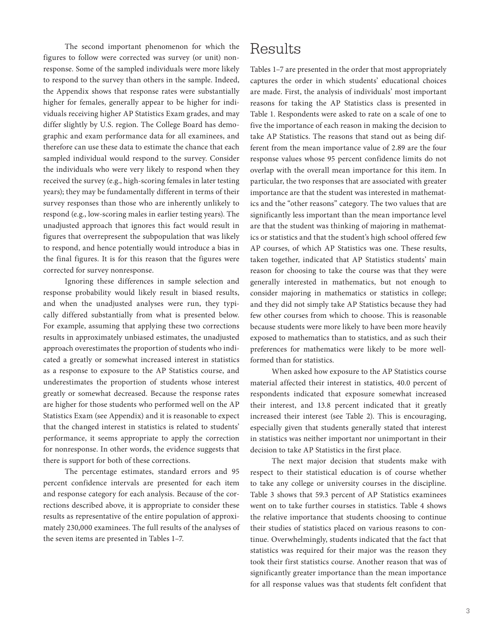The second important phenomenon for which the figures to follow were corrected was survey (or unit) nonresponse. Some of the sampled individuals were more likely to respond to the survey than others in the sample. Indeed, the Appendix shows that response rates were substantially higher for females, generally appear to be higher for individuals receiving higher AP Statistics Exam grades, and may differ slightly by U.S. region. The College Board has demographic and exam performance data for all examinees, and therefore can use these data to estimate the chance that each sampled individual would respond to the survey. Consider the individuals who were very likely to respond when they received the survey (e.g., high-scoring females in later testing years); they may be fundamentally different in terms of their survey responses than those who are inherently unlikely to respond (e.g., low-scoring males in earlier testing years). The unadjusted approach that ignores this fact would result in figures that overrepresent the subpopulation that was likely to respond, and hence potentially would introduce a bias in the final figures. It is for this reason that the figures were corrected for survey nonresponse.

Ignoring these differences in sample selection and response probability would likely result in biased results, and when the unadjusted analyses were run, they typically differed substantially from what is presented below. For example, assuming that applying these two corrections results in approximately unbiased estimates, the unadjusted approach overestimates the proportion of students who indicated a greatly or somewhat increased interest in statistics as a response to exposure to the AP Statistics course, and underestimates the proportion of students whose interest greatly or somewhat decreased. Because the response rates are higher for those students who performed well on the AP Statistics Exam (see Appendix) and it is reasonable to expect that the changed interest in statistics is related to students' performance, it seems appropriate to apply the correction for nonresponse. In other words, the evidence suggests that there is support for both of these corrections.

The percentage estimates, standard errors and 95 percent confidence intervals are presented for each item and response category for each analysis. Because of the corrections described above, it is appropriate to consider these results as representative of the entire population of approximately 230,000 examinees. The full results of the analyses of the seven items are presented in Tables 1–7.

## Results

Tables 1–7 are presented in the order that most appropriately captures the order in which students' educational choices are made. First, the analysis of individuals' most important reasons for taking the AP Statistics class is presented in Table 1. Respondents were asked to rate on a scale of one to five the importance of each reason in making the decision to take AP Statistics. The reasons that stand out as being different from the mean importance value of 2.89 are the four response values whose 95 percent confidence limits do not overlap with the overall mean importance for this item. In particular, the two responses that are associated with greater importance are that the student was interested in mathematics and the "other reasons" category. The two values that are significantly less important than the mean importance level are that the student was thinking of majoring in mathematics or statistics and that the student's high school offered few AP courses, of which AP Statistics was one. These results, taken together, indicated that AP Statistics students' main reason for choosing to take the course was that they were generally interested in mathematics, but not enough to consider majoring in mathematics or statistics in college; and they did not simply take AP Statistics because they had few other courses from which to choose. This is reasonable because students were more likely to have been more heavily exposed to mathematics than to statistics, and as such their preferences for mathematics were likely to be more wellformed than for statistics.

When asked how exposure to the AP Statistics course material affected their interest in statistics, 40.0 percent of respondents indicated that exposure somewhat increased their interest, and 13.8 percent indicated that it greatly increased their interest (see Table 2). This is encouraging, especially given that students generally stated that interest in statistics was neither important nor unimportant in their decision to take AP Statistics in the first place.

The next major decision that students make with respect to their statistical education is of course whether to take any college or university courses in the discipline. Table 3 shows that 59.3 percent of AP Statistics examinees went on to take further courses in statistics. Table 4 shows the relative importance that students choosing to continue their studies of statistics placed on various reasons to continue. Overwhelmingly, students indicated that the fact that statistics was required for their major was the reason they took their first statistics course. Another reason that was of significantly greater importance than the mean importance for all response values was that students felt confident that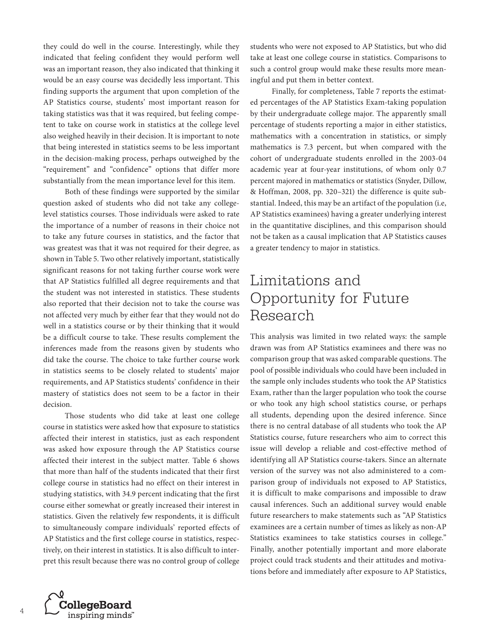they could do well in the course. Interestingly, while they indicated that feeling confident they would perform well was an important reason, they also indicated that thinking it would be an easy course was decidedly less important. This finding supports the argument that upon completion of the AP Statistics course, students' most important reason for taking statistics was that it was required, but feeling competent to take on course work in statistics at the college level also weighed heavily in their decision. It is important to note that being interested in statistics seems to be less important in the decision-making process, perhaps outweighed by the "requirement" and "confidence" options that differ more substantially from the mean importance level for this item.

Both of these findings were supported by the similar question asked of students who did not take any collegelevel statistics courses. Those individuals were asked to rate the importance of a number of reasons in their choice not to take any future courses in statistics, and the factor that was greatest was that it was not required for their degree, as shown in Table 5. Two other relatively important, statistically significant reasons for not taking further course work were that AP Statistics fulfilled all degree requirements and that the student was not interested in statistics. These students also reported that their decision not to take the course was not affected very much by either fear that they would not do well in a statistics course or by their thinking that it would be a difficult course to take. These results complement the inferences made from the reasons given by students who did take the course. The choice to take further course work in statistics seems to be closely related to students' major requirements, and AP Statistics students' confidence in their mastery of statistics does not seem to be a factor in their decision.

Those students who did take at least one college course in statistics were asked how that exposure to statistics affected their interest in statistics, just as each respondent was asked how exposure through the AP Statistics course affected their interest in the subject matter. Table 6 shows that more than half of the students indicated that their first college course in statistics had no effect on their interest in studying statistics, with 34.9 percent indicating that the first course either somewhat or greatly increased their interest in statistics. Given the relatively few respondents, it is difficult to simultaneously compare individuals' reported effects of AP Statistics and the first college course in statistics, respectively, on their interest in statistics. It is also difficult to interpret this result because there was no control group of college

students who were not exposed to AP Statistics, but who did take at least one college course in statistics. Comparisons to such a control group would make these results more meaningful and put them in better context.

Finally, for completeness, Table 7 reports the estimated percentages of the AP Statistics Exam-taking population by their undergraduate college major. The apparently small percentage of students reporting a major in either statistics, mathematics with a concentration in statistics, or simply mathematics is 7.3 percent, but when compared with the cohort of undergraduate students enrolled in the 2003-04 academic year at four-year institutions, of whom only 0.7 percent majored in mathematics or statistics (Snyder, Dillow, & Hoffman, 2008, pp. 320–321) the difference is quite substantial. Indeed, this may be an artifact of the population (i.e, AP Statistics examinees) having a greater underlying interest in the quantitative disciplines, and this comparison should not be taken as a causal implication that AP Statistics causes a greater tendency to major in statistics.

## Limitations and Opportunity for Future Research

This analysis was limited in two related ways: the sample drawn was from AP Statistics examinees and there was no comparison group that was asked comparable questions. The pool of possible individuals who could have been included in the sample only includes students who took the AP Statistics Exam, rather than the larger population who took the course or who took any high school statistics course, or perhaps all students, depending upon the desired inference. Since there is no central database of all students who took the AP Statistics course, future researchers who aim to correct this issue will develop a reliable and cost-effective method of identifying all AP Statistics course-takers. Since an alternate version of the survey was not also administered to a comparison group of individuals not exposed to AP Statistics, it is difficult to make comparisons and impossible to draw causal inferences. Such an additional survey would enable future researchers to make statements such as "AP Statistics examinees are a certain number of times as likely as non-AP Statistics examinees to take statistics courses in college." Finally, another potentially important and more elaborate project could track students and their attitudes and motivations before and immediately after exposure to AP Statistics,

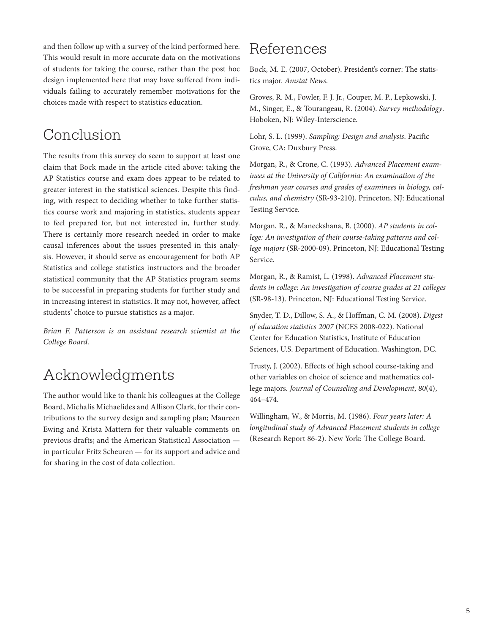and then follow up with a survey of the kind performed here. This would result in more accurate data on the motivations of students for taking the course, rather than the post hoc design implemented here that may have suffered from individuals failing to accurately remember motivations for the choices made with respect to statistics education.

## Conclusion

The results from this survey do seem to support at least one claim that Bock made in the article cited above: taking the AP Statistics course and exam does appear to be related to greater interest in the statistical sciences. Despite this finding, with respect to deciding whether to take further statistics course work and majoring in statistics, students appear to feel prepared for, but not interested in, further study. There is certainly more research needed in order to make causal inferences about the issues presented in this analysis. However, it should serve as encouragement for both AP Statistics and college statistics instructors and the broader statistical community that the AP Statistics program seems to be successful in preparing students for further study and in increasing interest in statistics. It may not, however, affect students' choice to pursue statistics as a major.

*Brian F. Patterson is an assistant research scientist at the College Board.*

## Acknowledgments

The author would like to thank his colleagues at the College Board, Michalis Michaelides and Allison Clark, for their contributions to the survey design and sampling plan; Maureen Ewing and Krista Mattern for their valuable comments on previous drafts; and the American Statistical Association in particular Fritz Scheuren — for its support and advice and for sharing in the cost of data collection.

## References

Bock, M. E. (2007, October). President's corner: The statistics major. *Amstat News*.

Groves, R. M., Fowler, F. J. Jr., Couper, M. P., Lepkowski, J. M., Singer, E., & Tourangeau, R. (2004). *Survey methodology*. Hoboken, NJ: Wiley-Interscience.

Lohr, S. L. (1999). *Sampling: Design and analysis*. Pacific Grove, CA: Duxbury Press.

Morgan, R., & Crone, C. (1993). *Advanced Placement examinees at the University of California: An examination of the freshman year courses and grades of examinees in biology, calculus, and chemistry* (SR-93-210). Princeton, NJ: Educational Testing Service.

Morgan, R., & Maneckshana, B. (2000). *AP students in college: An investigation of their course-taking patterns and college majors* (SR-2000-09). Princeton, NJ: Educational Testing Service.

Morgan, R., & Ramist, L. (1998). *Advanced Placement students in college: An investigation of course grades at 21 colleges* (SR-98-13). Princeton, NJ: Educational Testing Service.

Snyder, T. D., Dillow, S. A., & Hoffman, C. M. (2008). *Digest of education statistics 2007* (NCES 2008-022). National Center for Education Statistics, Institute of Education Sciences, U.S. Department of Education. Washington, DC.

Trusty, J. (2002). Effects of high school course-taking and other variables on choice of science and mathematics college majors. *Journal of Counseling and Development*, *80*(4), 464–474.

Willingham, W., & Morris, M. (1986). *Four years later: A longitudinal study of Advanced Placement students in college* (Research Report 86-2). New York: The College Board.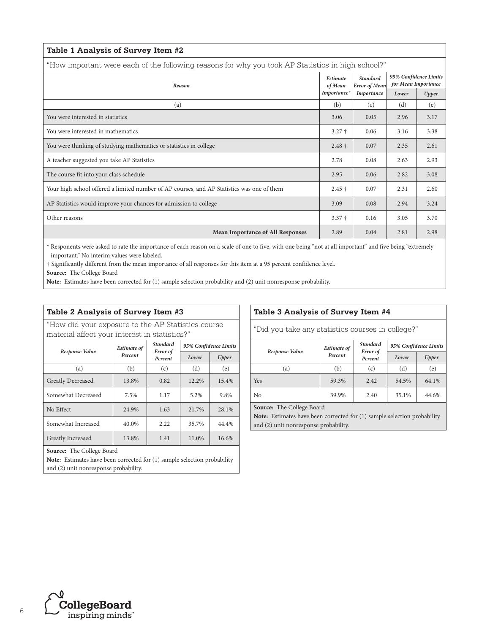| Table 1 Analysis of Survey Item #2                                                                |          |                                                       |                                              |       |  |  |
|---------------------------------------------------------------------------------------------------|----------|-------------------------------------------------------|----------------------------------------------|-------|--|--|
| "How important were each of the following reasons for why you took AP Statistics in high school?" |          |                                                       |                                              |       |  |  |
| Reason<br>Importance*                                                                             |          | <b>Standard</b><br><b>Error</b> of Mean<br>Importance | 95% Confidence Limits<br>for Mean Importance |       |  |  |
|                                                                                                   |          |                                                       | Lower                                        | Upper |  |  |
| (a)                                                                                               | (b)      | (c)                                                   | (d)                                          | (e)   |  |  |
| You were interested in statistics                                                                 | 3.06     | 0.05                                                  | 2.96                                         | 3.17  |  |  |
| You were interested in mathematics                                                                | $3.27 +$ | 0.06                                                  | 3.16                                         | 3.38  |  |  |
| You were thinking of studying mathematics or statistics in college                                | $2.48 +$ | 0.07                                                  | 2.35                                         | 2.61  |  |  |
| A teacher suggested you take AP Statistics                                                        | 2.78     | 0.08                                                  | 2.63                                         | 2.93  |  |  |
| The course fit into your class schedule                                                           | 2.95     | 0.06                                                  | 2.82                                         | 3.08  |  |  |
| Your high school offered a limited number of AP courses, and AP Statistics was one of them        | $2.45 +$ | 0.07                                                  | 2.31                                         | 2.60  |  |  |
| AP Statistics would improve your chances for admission to college                                 | 3.09     | 0.08                                                  | 2.94                                         | 3.24  |  |  |
| Other reasons                                                                                     | $3.37 +$ | 0.16                                                  | 3.05                                         | 3.70  |  |  |
| <b>Mean Importance of All Responses</b>                                                           | 2.89     | 0.04                                                  | 2.81                                         | 2.98  |  |  |

\* Responents were asked to rate the importance of each reason on a scale of one to five, with one being "not at all important" and five being "extremely important." No interim values were labeled.

† Significantly different from the mean importance of all responses for this item at a 95 percent confidence level.

**Source:** The College Board

**Note:** Estimates have been corrected for (1) sample selection probability and (2) unit nonresponse probability.

### **Table 2 Analysis of Survey Item #3**

"How did your exposure to the AP Statistics course material affect your interest in statistics?"

| Response Value           | <b>Estimate of</b> | Standard<br>Error of | 95% Confidence Limits |       |  |
|--------------------------|--------------------|----------------------|-----------------------|-------|--|
|                          | Percent<br>Percent |                      | Lower                 | Upper |  |
| (a)                      | (b)                | (c)                  | (d)                   | (e)   |  |
| <b>Greatly Decreased</b> | 13.8%              | 0.82                 | 12.2%                 | 15.4% |  |
| Somewhat Decreased       | 7.5%               | 1.17                 | 5.2%                  | 9.8%  |  |
| No Effect                | 24.9%              | 1.63                 | 21.7%                 | 28.1% |  |
| Somewhat Increased       | 40.0%              | 2.22                 | 35.7%                 | 44.4% |  |
| Greatly Increased        | 13.8%              | 1.41                 | 11.0%                 | 16.6% |  |

**Source:** The College Board

**Note:** Estimates have been corrected for (1) sample selection probability and (2) unit nonresponse probability.

### **Table 3 Analysis of Survey Item #4**

"Did you take any statistics courses in college?"

| Response Value             | <b>Estimate of</b> | <b>Standard</b><br>Error of | 95% Confidence Limits |       |  |
|----------------------------|--------------------|-----------------------------|-----------------------|-------|--|
|                            | Percent            | Percent                     | Lower                 | Upper |  |
| (a)                        | (b)                | (c)                         | (d)                   | (e)   |  |
| Yes                        | 59.3%              | 2.42                        | 54.5%                 | 64.1% |  |
| No                         | 39.9%              | 2.40                        | 35.1%                 | 44.6% |  |
| $   -$<br>$-1$<br>-<br>$-$ |                    |                             |                       |       |  |

**Source:** The College Board

**Note:** Estimates have been corrected for (1) sample selection probability and (2) unit nonresponse probability.

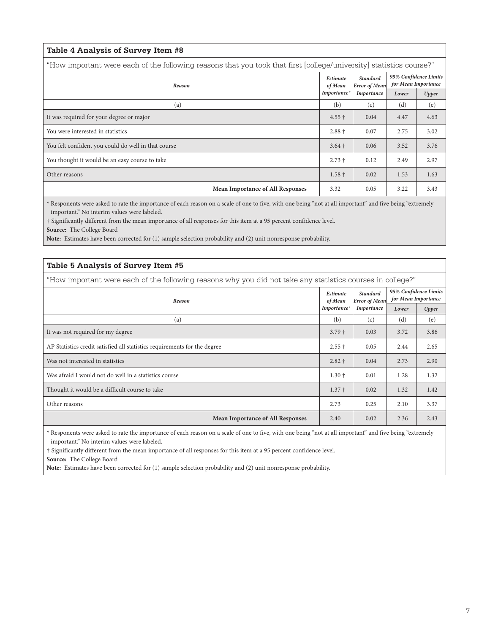| Table 4 Analysis of Survey Item #8                                                                                  |                        |                                         |                                              |       |  |  |  |
|---------------------------------------------------------------------------------------------------------------------|------------------------|-----------------------------------------|----------------------------------------------|-------|--|--|--|
| "How important were each of the following reasons that you took that first [college/university] statistics course?" |                        |                                         |                                              |       |  |  |  |
| Reason                                                                                                              |                        | <b>Standard</b><br><b>Error</b> of Mean | 95% Confidence Limits<br>for Mean Importance |       |  |  |  |
|                                                                                                                     | of Mean<br>Importance* | Importance                              | Lower                                        | Upper |  |  |  |
| (a)                                                                                                                 | (b)                    | (c)                                     | (d)                                          | (e)   |  |  |  |
| It was required for your degree or major                                                                            | $4.55 \pm$             | 0.04                                    | 4.47                                         | 4.63  |  |  |  |
| You were interested in statistics                                                                                   | $2.88 +$               | 0.07                                    | 2.75                                         | 3.02  |  |  |  |
| You felt confident you could do well in that course                                                                 | $3.64 \pm$             | 0.06                                    | 3.52                                         | 3.76  |  |  |  |
| You thought it would be an easy course to take                                                                      | $2.73 +$               | 0.12                                    | 2.49                                         | 2.97  |  |  |  |
| Other reasons                                                                                                       | $1.58 +$               | 0.02                                    | 1.53                                         | 1.63  |  |  |  |
| <b>Mean Importance of All Responses</b>                                                                             | 3.32                   | 0.05                                    | 3.22                                         | 3.43  |  |  |  |

\* Responents were asked to rate the importance of each reason on a scale of one to five, with one being "not at all important" and five being "extremely important." No interim values were labeled.

† Significantly different from the mean importance of all responses for this item at a 95 percent confidence level. **Source:** The College Board

**Note:** Estimates have been corrected for (1) sample selection probability and (2) unit nonresponse probability.

#### **Table 5 Analysis of Survey Item #5**

"How important were each of the following reasons why you did not take any statistics courses in college?"

| Reason                                                                    |          | <b>Standard</b><br><b>Error</b> of Mean | 95% Confidence Limits<br>for Mean Importance |       |
|---------------------------------------------------------------------------|----------|-----------------------------------------|----------------------------------------------|-------|
|                                                                           |          | Importance                              | Lower                                        | Upper |
| (a)                                                                       | (b)      | (c)                                     | (d)                                          | (e)   |
| It was not required for my degree                                         | $3.79 +$ | 0.03                                    | 3.72                                         | 3.86  |
| AP Statistics credit satisfied all statistics requirements for the degree | $2.55 +$ | 0.05                                    | 2.44                                         | 2.65  |
| Was not interested in statistics                                          | $2.82 +$ | 0.04                                    | 2.73                                         | 2.90  |
| Was afraid I would not do well in a statistics course                     | $1.30 +$ | 0.01                                    | 1.28                                         | 1.32  |
| Thought it would be a difficult course to take                            | $1.37 +$ | 0.02                                    | 1.32                                         | 1.42  |
| Other reasons                                                             | 2.73     | 0.25                                    | 2.10                                         | 3.37  |
| <b>Mean Importance of All Responses</b>                                   | 2.40     | 0.02                                    | 2.36                                         | 2.43  |

\* Responents were asked to rate the importance of each reason on a scale of one to five, with one being "not at all important" and five being "extremely important." No interim values were labeled.

† Significantly different from the mean importance of all responses for this item at a 95 percent confidence level.

**Source:** The College Board

**Note:** Estimates have been corrected for (1) sample selection probability and (2) unit nonresponse probability.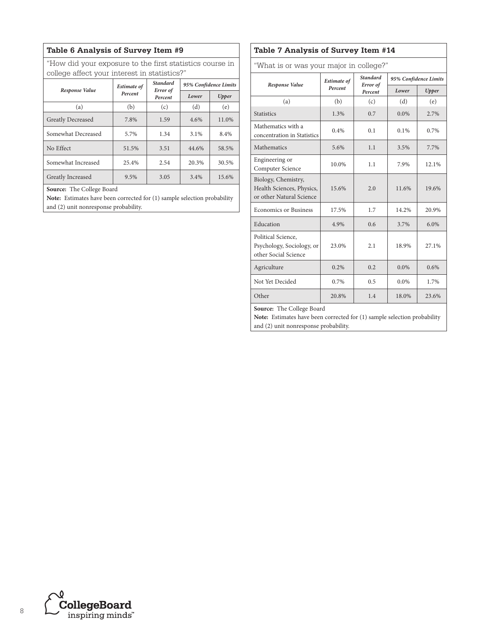### **Table 6 Analysis of Survey Item #9**

"How did your exposure to the first statistics course in college affect your interest in statistics?"

| Response Value           | <b>Estimate of</b> | <b>Standard</b><br>Error of | 95% Confidence Limits |       |  |
|--------------------------|--------------------|-----------------------------|-----------------------|-------|--|
|                          | Percent            |                             | Lower                 | Upper |  |
| (a)                      | (b)                | (c)                         | (d)                   | (e)   |  |
| <b>Greatly Decreased</b> | 7.8%               | 1.59                        | 4.6%                  | 11.0% |  |
| Somewhat Decreased       | 5.7%               | 1.34                        | 3.1%                  | 8.4%  |  |
| No Effect                | 51.5%              | 3.51                        | 44.6%                 | 58.5% |  |
| Somewhat Increased       | 25.4%              | 2.54                        | 20.3%                 | 30.5% |  |
| Greatly Increased        | 9.5%               | 3.05                        | 3.4%                  | 15.6% |  |

**Source:** The College Board

**Note:** Estimates have been corrected for (1) sample selection probability and (2) unit nonresponse probability.

### **Table 7 Analysis of Survey Item #14**

"What is or was your major in college?"

|                                                                              | <b>Estimate of</b>             | <b>Standard</b> | 95% Confidence Limits |       |  |  |
|------------------------------------------------------------------------------|--------------------------------|-----------------|-----------------------|-------|--|--|
| Response Value                                                               | Error of<br>Percent<br>Percent |                 | Lower                 | Upper |  |  |
| (a)                                                                          | (b)                            | (c)             | (d)                   | (e)   |  |  |
| <b>Statistics</b>                                                            | 1.3%                           | 0.7             | $0.0\%$               | 2.7%  |  |  |
| Mathematics with a<br>concentration in Statistics                            | 0.4%                           | 0.1             | 0.1%                  | 0.7%  |  |  |
| Mathematics                                                                  | 5.6%                           | 1.1             | 3.5%                  | 7.7%  |  |  |
| Engineering or<br>Computer Science                                           | 10.0%                          | 1.1             | 7.9%                  | 12.1% |  |  |
| Biology, Chemistry,<br>Health Sciences, Physics,<br>or other Natural Science | 15.6%                          | 2.0             | 11.6%                 | 19.6% |  |  |
| <b>Economics or Business</b>                                                 | 17.5%                          | 1.7             | 14.2%                 | 20.9% |  |  |
| Education                                                                    | 4.9%                           | 0.6             | 3.7%                  | 6.0%  |  |  |
| Political Science,<br>Psychology, Sociology, or<br>other Social Science      | 23.0%                          | 2.1             | 18.9%                 | 27.1% |  |  |
| Agriculture                                                                  | 0.2%                           | 0.2             | $0.0\%$               | 0.6%  |  |  |
| Not Yet Decided                                                              | 0.7%                           | 0.5             | 0.0%                  | 1.7%  |  |  |
| Other                                                                        | 20.8%                          | 1.4             | 18.0%                 | 23.6% |  |  |
| <b>Source:</b> The College Board                                             |                                |                 |                       |       |  |  |

**Source:** The College Board

**Note:** Estimates have been corrected for (1) sample selection probability and (2) unit nonresponse probability.

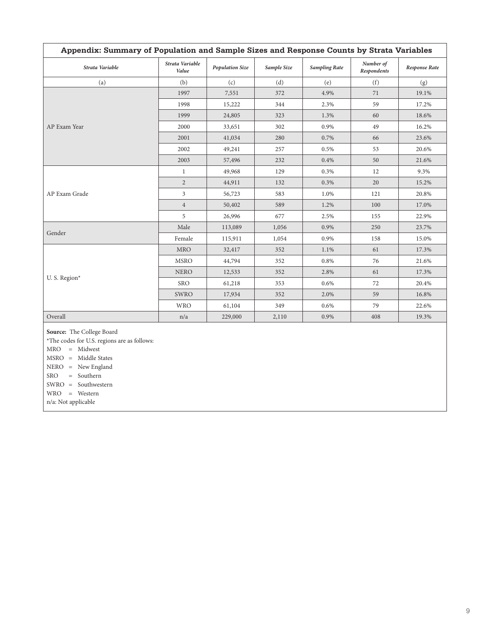| Appendix: Summary of Population and Sample Sizes and Response Counts by Strata Variables |                          |                        |             |                      |                          |                      |  |
|------------------------------------------------------------------------------------------|--------------------------|------------------------|-------------|----------------------|--------------------------|----------------------|--|
| Strata Variable                                                                          | Strata Variable<br>Value | <b>Population Size</b> | Sample Size | <b>Sampling Rate</b> | Number of<br>Respondents | <b>Response Rate</b> |  |
| (a)                                                                                      | (b)                      | (c)                    | (d)         | (e)                  | (f)                      | (g)                  |  |
|                                                                                          | 1997                     | 7,551                  | 372         | 4.9%                 | 71                       | 19.1%                |  |
|                                                                                          | 1998                     | 15,222                 | 344         | 2.3%                 | 59                       | 17.2%                |  |
|                                                                                          | 1999                     | 24,805                 | 323         | 1.3%                 | 60                       | 18.6%                |  |
| AP Exam Year                                                                             | 2000                     | 33,651                 | 302         | 0.9%                 | 49                       | 16.2%                |  |
|                                                                                          | 2001                     | 41,034                 | 280         | 0.7%                 | 66                       | 23.6%                |  |
|                                                                                          | 2002                     | 49,241                 | 257         | 0.5%                 | 53                       | 20.6%                |  |
|                                                                                          | 2003                     | 57,496                 | 232         | 0.4%                 | 50                       | 21.6%                |  |
| AP Exam Grade                                                                            | $\mathbf{1}$             | 49,968                 | 129         | 0.3%                 | 12                       | 9.3%                 |  |
|                                                                                          | $\overline{2}$           | 44,911                 | 132         | 0.3%                 | 20                       | 15.2%                |  |
|                                                                                          | $\overline{3}$           | 56,723                 | 583         | 1.0%                 | 121                      | 20.8%                |  |
|                                                                                          | $\overline{4}$           | 50,402                 | 589         | 1.2%                 | 100                      | 17.0%                |  |
|                                                                                          | 5                        | 26,996                 | 677         | 2.5%                 | 155                      | 22.9%                |  |
| Gender                                                                                   | Male                     | 113,089                | 1,056       | 0.9%                 | 250                      | 23.7%                |  |
|                                                                                          | Female                   | 115,911                | 1,054       | 0.9%                 | 158                      | 15.0%                |  |
|                                                                                          | <b>MRO</b>               | 32,417                 | 352         | 1.1%                 | 61                       | 17.3%                |  |
| U. S. Region*                                                                            | <b>MSRO</b>              | 44,794                 | 352         | 0.8%                 | 76                       | 21.6%                |  |
|                                                                                          | <b>NERO</b>              | 12,533                 | 352         | 2.8%                 | 61                       | 17.3%                |  |
|                                                                                          | <b>SRO</b>               | 61,218                 | 353         | 0.6%                 | 72                       | 20.4%                |  |
|                                                                                          | <b>SWRO</b>              | 17,934                 | 352         | 2.0%                 | 59                       | 16.8%                |  |
|                                                                                          | <b>WRO</b>               | 61,104                 | 349         | 0.6%                 | 79                       | 22.6%                |  |
| Overall                                                                                  | n/a                      | 229,000                | 2,110       | 0.9%                 | 408                      | 19.3%                |  |

**Source:** The College Board

\*The codes for U.S. regions are as follows:

MRO = Midwest

MSRO = Middle States

NERO = New England

SRO = Southern

SWRO = Southwestern

WRO = Western

n/a: Not applicable